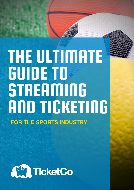# THE ULTIMATE GUIDE TO **STREAMING** AND TICKETING **FOR THE SPORTS INDUSTRY**

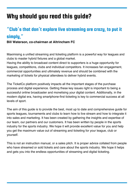# Why should you read this guide?

#### "Club's that don't explore live streaming are crazy, to put it simply, "

#### **Bill Waterson, co-chairman at Altrincham FC**

Maximising a unified streaming and ticketing platform is a powerful way for leagues and clubs to master hybrid fixtures and a global market.

Having the ability to broadcast content direct to supporters is a huge opportunity for leagues, competitions, clubs and individual competitors. It increases fan engagement, commercial opportunities and ultimately revenue and should be combined with the marketing of tickets for physical attendees to deliver hybrid events.

The TicketCo platform positively impacts all the important stages of the purchase process and digital experience. Getting these key issues right is important to being a successful online broadcaster and monetising your digital content. Additionally, in the modern digital era, having smartphone-first ticketing is key to commercial success at all levels of sport.

The aim of this guide is to provide the best, most up to date and comprehensive guide for sports leagues, tournaments and clubs to learn how to live stream and how to integrate it into sales and marketing. It has been created by gathering the insights and expertise of our team, our partners and our customers. It has been written by people in the sports industry for the sports industry. We hope it will provide excellent value for you and help you get the maximum value out of streaming and ticketing for your league, club or yourself.

This is not an instruction manual, or a sales pitch. It is proper advice collated from people who have streamed or sold tickets and care about the sports industry. We hope it helps and gets you into the endless opportunities of streaming and digital ticketing.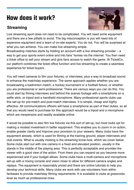# How does it work?

#### **Streaming**



Live streaming sport does not need to be complicated. You will need some equipment and there are a few pitfalls to avoid. The big misconception is you will need lots of expensive equipment and a team of on-site experts. You do not. You will be surprised at what you can achieve. You can make live streaming simple.

Broadcasting matches starts by holding an account with a live streaming provider – a way to get your sports event online and into fans' homes via the internet. You then need a ticket office to sell your stream and give fans access to watch the game. At TicketCo, our platform combines the ticket office function and live streaming to create a seamless experience for ticket buyers.

You will need cameras to film your fixtures, or interviews, plus a way to broadcast sound to enhance the matchday experience. The same approach applies whether you are broadcasting a badminton match, a hockey tournament or a football fixture, or whether you are professional or semi-professional. There are various ways you can do this. You could start by filming interviews and behind the scenes footage with a smartphone on a selfie stick, or tripod and a handheld microphone. Many professional sports clubs use this set-up for pre-match and post-match interviews. It is simple, cheap and highly effective. All communications officers will have a smartphone as part of their duties, so all that you would need to purchase for this approach would be a tripod and a microphone which are inexpensive and readily available online.

It would be possible to also film live fixtures via this sort of set-up, but most clubs opt for making a modest investment in better equipment. This enables you to zoom in on action, enable greater clarity and improve your provision to your viewers. Many clubs have the equipment already, which is used for filming at the training ground, player interviews and club events. What is usually missing is the streaming know-how, which we cover below. Some clubs start out with one camera in a fixed and elevated position, usually in the stands in the middle of the playing area. This is perfectly acceptable and provides the viewer with a good view of the action. From there you can expand as you become more experienced and if your budget allows. Some clubs have a multi-camera and microphone set-up with a mixing console and vision mixer to allow for different camera angles and replays. The equipment is reasonably priced and there are online tutorials to help you develop your technical skills. Many clubs we work with use volunteers from within fanbases to provide matchday filming requirements. It is available to clubs at grassroots level as much as professional ones.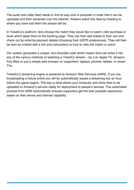The audio and video feed needs to find its way onto a computer in order that it can be uploaded and then streamed over the internet. Viewers watch this feed by heading to where you have told them the stream will be.

In TicketCo's platform, fans choose the match they would like to watch, click purchase or book which takes them to the booking page. They can then add tickets to their cart and check out by entering payment details (choosing their GDPR preferences). They will then be sent an e-ticket with a link and instructions on how to view the match or event.

Our system generates a unique, non-sharable code which means fans can enter it into any of the various methods of watching a TicketCo stream – be it an Apple TV, Amazon Fire Stick or just a simple web browser on supporters' laptops, phones, tablets, or smart-TVs.

TicketCo's streaming engine is powered by Amazon Web Services (AWS). If you are broadcasting a fixture online you will be automatically issued a streaming key an hour before the game begins. This key is what allows your computer and show feed to be uploaded to Amazon's servers ready for deployment to people's devices. This automated process from AWS automatically ensures supporters get the best possible experience based on their device and internet capability.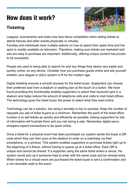# How does it work?

#### **Ticketing**



Leagues, tournaments and clubs now face fierce competition when selling tickets to attend fixtures and other events physically or virtually.

Families and individuals have multiple options on how to spend their spare time and live sport is readily available on television. Therefore, making sure tickets are marketed well and are easy to purchase are important. Additionally, offering unique content has proven to be successful.

People are used to being able to search for and buy things they desire very easily and quickly online, on any device. Consider how you purchase goods online and ask yourself whether your league or club's system is fit for the modern age.

Digital ticketing ensures a smooth process for the ticket buyer. Supporters can choose their preferred seat from a stadium or seating plan at the touch of a button. We have found providing this functionality enables supporters to select their favoured spot in a stadium and helps reduce the amount of telephone calls and visits to club ticket offices. The technology gives the ticket buyer the power to select what they want online.

Technology can be a solution, but using it sensibly is key to success. Keep the number of requests you ask of ticket buyers to a minimum. Remember the point of the ticket office function is to sell tickets as quickly and efficiently as possible. Asking supporters for lots of information will frustrate them and you risk losing a sale. Remember digital savvy shoppers expect transactions to be quick online.

Once a ticket for a physical event has been purchased our system sends the buyer a QR code which they can then scan at the stadium to enter on a matchday via their smartphone, or a printout. This system enables supporters to purchase tickets right up to the beginning of a fixture, without having to queue up at a ticket office. Each QR is unique and cannot be shared. If a supporter using the same ticket enters a venue, the system would pick up if someone tried to enter with the same code and be refused entry. When tickets for a virtual event are purchased the ticket buyer is sent a confirmation and a non-sharable code to the event.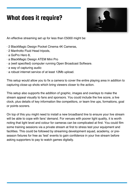# What does it require?



An effective streaming set up for less than £5000 might be:

- · 2 BlackMagic Design Pocket Cinema 4K Cameras,
- · 2 Manfrotto Fluid Head tripods,
- · a GoPro Hero 8,
- · a BlackMagic Design ATEM Mini Pro
- · a (well specified) computer running Open Broadcast Software.
- · a way of capturing audio
- · a robust internet service of at least 12Mb upload.

This setup would allow you to fix a camera to cover the entire playing area in addition to capturing close-up shots which bring viewers closer to the action.

This setup also supports the addition of graphic, images and overlays to make the stream appeal visually to fans and sponsors. You could include the live score, a live clock, plus details of key information like competitors, or team line ups, formations, goal or points scorers.

On top of this you might need to install a new broadband line to ensure your live stream will be able to cope with fans' demand. For venues with poorer light quality, it is worth noting that light level and colour for cameras can be complicated at first. You could film some training sessions via a private stream at first to stress test your equipment and facilities. This could be followed by streaming development squad, academy, or preseason fixtures for free as 'test' events to gain confidence in your live stream before asking supporters to pay to watch games digitally.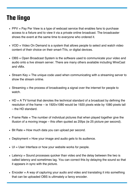# The lingo

- $\bullet$  PPV = Pay Per View is a type of webcast service that enables fans to purchase access to a fixture and to view it via a private online broadcast. The broadcaster shows the event at the same time to everyone who ordered it.
- VOD = Video On Demand is a system that allows people to select and watch video content of their choice on their smart-TVs, or digital devices.
- OBS = Open Broadcast System is the software used to communicate your video and audio onto a live stream server. There are many others available including WireCast and vMix.
- Stream Key = The unique code used when communicating with a streaming server to show the stream online.
- Streaming = the process of broadcasting a signal over the internet for people to watch.
- $\bullet$  HD = A TV format that denotes the technical standard of a broadcast by defining the resolution of the frame – ie 1920×1080 would be 1920 pixels wide by 1080 pixels tall – the HD standard.
- $\bullet$  Frame Rate = The number of individual pictures that when played together give the illusion of a moving image – this often quoted as 25fps (ie 25 picture per second).
- Bit Rate = How much data you can upload per second.
- Deployment = How your image and audio gets to its audience.
- UI = User Interface or how your website works for people.
- Latency = Sound processes quicker than video and the delay between the two is called latency and sometimes lag. You can correct this by delaying the sound so that it appears in sync with the picture.
- $\bullet$  Encoder = A way of capturing your audio and video and translating it into something that can be uploaded OBS is ultimately a fancy encoder.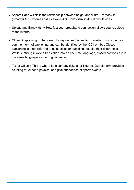- $\bullet$  Aspect Ratio = This is the relationship between height and width. TV today is (broadly) 16:9 whereas old TVs were 4:3. Don't dismiss 4:3, it has its uses.
- Upload and Bandwidth = How fast your broadband connection allows you to upload to the internet.
- Closed Captioning  $=$  The visual display (as text) of audio on media. This is the most common form of captioning and can be identified by the [CC] symbol. Closed captioning is often referred to as subtitles or subtitling, despite their differences. While subtitling involves translation into an alternate language, closed captions are in the same language as the original audio.
- $\bullet$  Ticket Office = This is where fans can buy tickets for fixtures. Our platform provides ticketing for either a physical or digital attendance of sports events.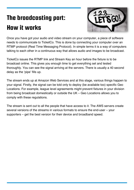# The broadcasting part: How it works



Once you have got your audio and video stream on your computer, a piece of software needs to communicate to TicketCo. This is done by connecting your computer over an RTMP protocol (Real Time Messaging Protocol). In simple terms it is a way of computers talking to each other in a continuous way that allows audio and images to be broadcast.

TicketCo issues the RTMP link and Stream Key an hour before the fixture is to be broadcast online. This gives you enough time to get everything set and tested thoroughly. You can see the signal arriving at the servers. There is usually a 40 second delay as the 'pipe' fills up.

The stream ends up at Amazon Web Services and at this stage, various things happen to your signal. Firstly, the signal can be told only to deploy (be available too) specific Geo Locations. For example, league level agreements might prevent fixtures in your division from being broadcast domestically or outside the UK – Geo Locations allows you to comply with these regulations.

The stream is sent out to all the people that have access to it. The AWS servers create several versions of the streams in various formats to ensure the end-user – your supporters – get the best version for their device and broadband speed.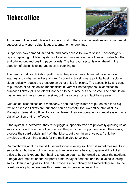# Ticket office



A modern online ticket office solution is crucial to the smooth operations and commercial success of any sports club, league, tournament or cup final.

Supporters now demand immediate and easy access to tickets online. Technology is rapidly replacing outdated systems of staffing multiple telephone lines and sales booths and printing out and posting paper tickets. The transport sector is way ahead in the adoption of digital ticketing and sport is catching up.

The beauty of digital ticketing platforms is they are accessible and affordable for all leagues and clubs, regardless of size. By offering ticket buyers a digital buying solution, clubs radically reduce the pressure on ticket office functions. The accessibility and ease of purchase of tickets online means ticket buyers will not telephone ticket offices to purchase tickets, plus tickets will not need to be printed out and posted. The benefits are vast –it make tickets more accessible, but it also cuts costs in facilitating sales.

Queues at ticket offices on a matchday, or on the day tickets are put on sale for a big fixture or season tickets are launched can be stressful for ticket office staff at clubs. Managing demand is difficult for a small team if they are operating a manual system, or a digital solution that is ineffective.

If the system is ineffective, they must juggle supporters who are physically queuing up at sales booths with telephone line queues. They must help supporters select their seats, process their card details, print off the tickets, put them in an envelope, frank the envelope and put it into a sack for the mail service to collect.

On matchdays at clubs that still use traditional ticketing solutions, it sometimes results in supporters who have not purchased a ticket in advance having to queue at the ticket office to buy a ticket and then having to queue again at the turnstile to enter the stadium. It negatively impacts on the supporter's matchday experience and the club risks losing sales. Offering a digital solution in QR code is automatically and immediately sent to the ticket buyer's phone removes this barrier and improves accessibility.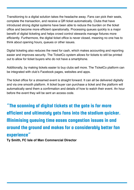Transitioning to a digital solution takes the headache away. Fans can pick their seats, complete the transaction, and receive a QR ticket automatically. Clubs that have introduced strong digital systems have been able to reduce the burden on the ticket office and become more efficient operationally. Processing queues quickly is a major benefit of digital ticketing and helps crowd control stewards manage fixtures more efficiently. Furthermore, the digital ticket office is never closed, meaning no one has to think about opening hours, queues or other issues.

Digital ticketing also reduces the need for cash, which makes accounting and reporting easier and improves security. The TicketCo system allows for tickets to still be printed out to allow for ticket buyers who do not have a smartphone.

Additionally, by making tickets easier to buy clubs sell more. The TicketCo platform can be integrated with club's Facebook pages, websites and apps.

The ticket office for a streamed event is straight forward. It can all be delivered digitally and via one smooth platform. A ticket buyer can purchase a ticket and the platform will automatically send them a confirmation and details of how to watch their event. An hour before the event they will be sent an access code.

### "The scanning of digital tickets at the gate is far more efficient and ultimately gets fans into the stadium quicker. Minimising queuing time eases congestion issues in and around the ground and makes for a considerably better fan experience"

**Ty Smith, FC Isle of Man Commercial Director**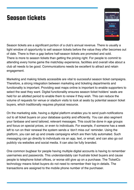# Season tickets



Season tickets are a significant portion of a club's annual revenue. There is usually a tight window of opportunity to sell season tickets before the value they offer becomes out of date. There is then a gap before half-season tickets are promoted and sold. There is more to season tickets than getting the pricing right. For people to commit to attending every home game the matchday experience, facilities and overall vibe about a club all needs to be good. Communications needs be excellent to attract and retain engagement.

Marketing and making tickets accessible are vital to successful season ticket campaigns. Therefore, a strong integration between marketing and ticketing departments and functionality is important. Providing seat maps online is important to enable supporters to select the seat they want. Digital functionality ensures season ticket holders' seats are held for an allotted period to enable them to renew if they wish. This can reduce the volume of requests for venue or stadium visits to look at seats by potential season ticket buyers, which traditionally requires physical resource.

On the marketing side, having a digital platform enables you to send push-notifications out to all ticket buyers on your database quickly and efficiently. You can also segment your fanbase and send tailored, relevant messages. This could be done in age groups and focus on special prices, or even to individuals. For example, if someone has a week left to run on their renewal the system sends a 'don't miss out' reminder. Using the platform, you can set up and create campaigns which are then fully automated. Such messaging can go directly to individuals via an app, text, or email, and can also go out publicly via websites and social media. It can also be fully branded.

One common bugbear for people having multiple digital accounts is having to remember usernames and passwords. This understandably can frustrate ticket buyers and cause people to telephone ticket offices, or worse still give up on a purchase. The TicketCo technology means ticket buyers do not need to remember their log-in details. The transactions are assigned to the mobile phone number of the purchaser.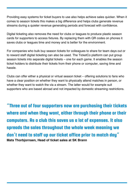Providing easy systems for ticket buyers to use also helps achieve sales quicker. When it comes to season tickets this makes a big difference and helps clubs generate revenue streams during a quieter revenue generating periods and forecast with confidence.

Digital ticketing also removes the need for clubs or leagues to produce plastic season cards for supporters to access fixtures. By replacing them with QR codes on phones it saves clubs or leagues time and money and is better for the environment.

For companies who bulk buy season tickets for colleagues to share for team days out or to reward staff digital ticketing can also be used. The TicketCo platform can put group season tickets into separate digital tickets – one for each game. It enables the season ticket holders to distribute their tickets from their phone or computer, saving time and hassle.

Clubs can offer either a physical or virtual season ticket – offering solutions to fans who have a clear position on whether they want to physically attend matches in person, or whether they want to watch the via a stream. The latter would for example suit supporters who are based abroad and not impacted by domestic streaming restrictions.

"Three out of four supporters now are purchasing their tickets where and when they want, either through their phone or their computers. As a club this saves us a lot of expenses. It also spreads the sales throughout the whole week meaning we don't need to staff up our ticket office prior to match day" **Mats Thorbjornsen, Head of ticket sales at SK Brann**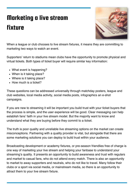# Marketing a live stream fixture



When a league or club chooses to live stream fixtures, it means they are committing to marketing two ways to watch an event.

Supporters' return to stadiums mean clubs have the opportunity to promote physical and virtual tickets. Both types of ticket buyer will require similar key information:

- What event is happening?
- When is it taking place?
- Where is it taking place?
- How much is a ticket?

These questions can be addressed universally through matchday posters, league and club websites, local media activity, social media posts, infographics an e-shot campaigns.

If you are new to streaming it will be important you build trust with your ticket buyers that the process is simple, and the user experience will be good. Clear messaging can help establish fans' faith in your live stream model. But the majority want to know and understand what they are buying before they commit to a ticket.

The truth is poor quality and unreliable live streaming options on the market can create misconceptions. Partnering with a quality provider is vital, but alongside that there are some marketing solutions you can deploy to build trust within your audience.

Broadcasting development or academy fixtures, or pre-season friendlies free of charge is one way of marketing your live stream and helping your fanbase to understand your streaming's quality. It presents an opportunity to build awareness and trust with regulars and market to casual fans, who do not attend every match. There is also an opportunity to market to away supporters and neutrals, who do not like to travel. Many follow their clubs or a sport via social media, or mainstream media, so there is an opportunity to attract them to your live stream fixture.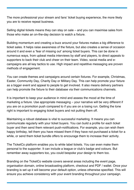The more professional your stream and fans' ticket buying experience, the more likely you are to receive repeat business.

Selling digital tickets means they can stay on sale – and you can maximise sales from those who make an on-the-day decision to watch a fixture.

Building momentum and creating a buzz around your fixtures makes a big difference to ticket sales. It helps raise awareness of the fixture, but also creates a sense of occasion around it and even a 'fear of missing out' among ticket buyers. This can be done in numerous ways, from upbeat media interviews by staff and players, to direct appeals to supporters to back their club and cheer on their team. Video, social media and ecampaigns are all key tactics to use. High impact and repetitive messaging are proven methods of engagement.

You can create themes and campaigns around certain fixtures. For example, Christmas, Easter, Community Day, Charity Day or Military Day. This can help promote your fixture as a bigger event and appeal to people to get involved. It also means delivery partners can help promote the fixture to their database via their communications channels.

It is important to keep your audience in mind and assess the mood at the time of marketing a fixture. Use appropriate messaging – your narrative will be very different if you are on a promotion push compared to if you are on a losing run. Getting the tone right is important to engaging ticket buyers and not putting them off.

Maintaining a robust database is vital to successful marketing. It means you can communicate regularly with your ticket buyers. You can build a profile for each ticket buyer and then send them relevant push-notifications. For example, you can wish them happy birthday, tell them you have missed them if they have not purchased a ticket for a while, or send them ticket bundle offers to encourage them to increase their activity.

The TicketCo platform enables you to white label tickets. You can even make them personal to the supporter. It can include a league or club's badge and colours. But remember away supporters too, you could bespoke your design to them too.

Branding on the TicketCo website covers several areas including the event page, organisation domain, online broadcasting platform, checkout and PDF / wallet. Once your branding is set up it will become your default option, unless otherwise specified. This will ensure you achieve consistency with your event branding throughout your campaign.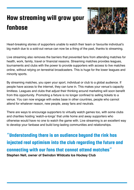# How streaming will grow your fanbase



Heart-breaking stories of supporters unable to watch their team or favourite individual's big match due to a sold-out venue can now be a thing of the past, thanks to streaming.

Live streaming also removes the barriers that prevented fans from attending matches for health, work, family, travel or financial reasons. Streaming matches provides leagues, tournaments and clubs with the power to provide supporters with access to live matches online, without relying on terrestrial broadcasters. This is huge for the lower leagues and minority sports.

By streaming matches, you open your sport, individual or club to a global audience. If people have access to the internet, they can tune in. This makes your venue's capacity limitless. Leagues and clubs that adjust their thinking around marketing will soon benefit from this opportunity. Promoting a fixture is no longer confined to selling tickets to a venue. You can now engage with exiles base in other countries, people who cannot attend for whatever reason, new people, away fans and neutrals.

There are ways to encourage supporters to virtually watch games too, with some clubs and charities hosting 'watch-a-longs' that unite home and away supporters who otherwise would have no one to watch the game with. Live streaming is an excellent way to develop your fanbase and build long-lasting communities and relationships.

"Understanding there is an audience beyond the rink has injected real optimism into the club regarding the future and connecting with our fans that cannot attend matches" **Stephen Nell, owner of Swindon Wildcats Ice Hockey Club**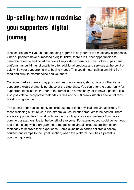# Up-selling: how to maximise your supporters' digital journey



Most sports fan will vouch that attending a game is only part of the matchday experience. Once supporters have purchased a digital ticket, there are further opportunities to generate revenue and boost the overall supporter experience. The TicketCo payment platform has built-in functionality to offer additional products and services at the point of sale while your supporter is in a 'buying mood'. This could mean selling anything from food and drink to merchandise and vouchers.

Consider marketing matchday programmes, club scarves, shirts, caps or other items supporters would ordinarily purchase at the club shop. You can offer the opportunity for supporters to collect their order at the turnstile on a matchday, or to have it posted. It is also possible to incorporate matchday raffles and 50-50 draws into this section of fans' ticket buying journey.

The up-sell opportunities apply to ticket buyers of both physical and virtual tickets. For those watching a fixture via a live stream you could offer products to be posted. There are also opportunities to work with league or club sponsors and partners to improve commercial partnerships to the benefit of everyone. For example, you could deliver food and drink, along with a programme or magazine to virtual ticket buyers' homes on matchday to improve their experience. Some clubs have added children's holiday courses and camps to the upsell section, when the platform identifies a parent is purchasing tickets.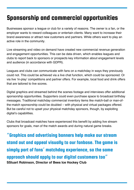# Sponsorship and commercial opportunities

Businesses sponsor a league or club for a variety of reasons. The owner is a fan, or the employer wants to reward colleagues or entertain clients. Many want to increase their brand awareness or attract new customers and partners. While others want to play an active role in the community.

Live streaming and video on demand have created new commercial revenue generation and engagement opportunities. This can be data driven, which enables leagues and clubs to report back to sponsors or prospects key information about engagement levels and audience (in accordance with GDPR).

Leagues and clubs can communicate with fans on a matchday in ways they previously could not. This could be achieved via a live chat function, which could be sponsored. Or via live 'in-play' competitions and partner offers. For example, local food and drink offers that are tailored to live scores.

Digital graphics and streamed behind the scenes footage and interviews offer additional sponsorship opportunities. Supporters could even purchase space to broadcast birthday messages. Traditional matchday commercial inventory items like match-ball or man-ofthe-match sponsorship could be doubled – with physical and virtual packages offered. But be careful not to upset your physical matchday sponsors, though, by exploiting digital's capabilities.

Clubs that broadcast matches have experienced this benefit by adding live stream sponsors for goals, man of the match awards and during natural game breaks.

"Graphics and advertising banners help make our stream stand out and appeal visually to our fanbase. The game is simply part of fans' matchday experience, so the same approach should apply to our digital customers too" **SStuart Robinson, Director of Bees Ice Hockey Club**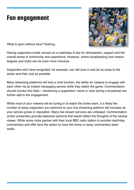### Fan engagement



What is sport without fans? Nothing.

Having supporters inside venues on a matchday is key for atmosphere, support and the overall sense of community and experience. However, online broadcasting now means leagues and clubs can be even more inclusive.

Supporters who have emigrated, for example, can still tune in and be as close to the action and their club as possible.

Many streaming platforms will host a chat function, the ability for viewers to engage with each other via an instant messaging service while they watch the game. Commentators should monitor this feed – mentioning a supporters' name or view during a broadcast can further add to the engagement.

While most of your viewers will be tuning in to watch the home team, it is likely the number of away supporters you welcome to your live streaming platform will increase as your service grows in reputation. Many live stream services are unbiased. Commentators and/or presenters provide balanced opinions that would reflect the thoughts of the neutral viewer. While some clubs partner with their local BBC radio station to provide matchday commentary and offer fans the option to have the home or away commentary team audio.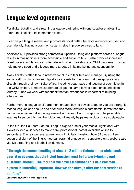### League level agreements

For digital ticketing and streaming a league partnering with one supplier enables it to offer a total solution to its member clubs.

It can help a league market and promote its sport better, be more audience focused and user friendly. Having a common system helps improve services to fans.

Additionally, it provides strong commercial upsides. Using one platform across a league results in making tickets more accessible and easier to buy. It also provides increased ticket buyer insights and can integrate with other marketing and CRM platforms. This can help make a sport and a league more targeted in its marketing and sponsorship.

Away tickets is often labour intensive for clubs to facilitate and manage. By using the same platform clubs can sell digital away tickets for their own matches (physical and virtual) through their own ticket office, including seat maps and tagging of each ticket in the CRM system. It means supporters all get the same buying experience and digital journey. Clubs we work with feedback that fan experience is important to building attendances.

Furthermore, a league level agreement creates buying power: together you are strong. It means leagues can secure and offer clubs more favourable commercial terms than they can achieve via an individual agreement with a supplier. This approach helps enable leagues to support its member clubs and ultimately helps make clubs more sustainable.

In the UK, the Southern Football League signed a [multi-year](https://start.ticketco.events/uk/blog/southern-football-league-ignites-media-rights-revolution/) Media Rights deal with TicketCo Media Services to make semi-professional football available online to supporters. The league level agreement will digitally transform how 82 clubs in tiers seven and eight of the English football pyramid engage with supporters on a global scale via live streaming and football on-demand.

"Through the annual handling of close to 2 million tickets at our clubs each year, it is obvious that the ticket function must be forward-looking and customer-friendly. The fact that we have established this as a common system is incredibly important. Now we can always offer the best service to our fans" **Leif Øverland, CEO of Norsk Toppfotball**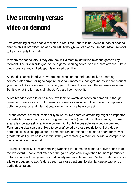# Live streaming versus video on demand



Live streaming allows people to watch in real time – there is no rewind button or second chance, this is broadcasting at its purest. Although you can of course add instant replays to key moments in a match.

Viewers cannot be late, if they are they will almost by definition miss the game's key moment. The first minute goal or try, a game winning serve, or a red-card offence. Like a pint is best served chilled, sport is enjoyed best live.

All the risks associated with live broadcasting can be attributed to live streaming – commentator error, failing to capture important moments, background noise that is out of your control. As a live stream provider, you will grow to deal with these issues as a team. But it is what the format is all about. You are live – enjoy it.

A live broadcast can later be made available to watch via video on demand. Although team performances and match results are readily available online, this option appeals to both the domestic and international viewer. Why, we hear you ask.

For the domestic viewer, their ability to watch live sport via streaming might be impacted by restrictions imposed by a sport's governing body (see below). This means, in some examples, broadcasting a fixture online might only be possible via video on demand. Fans on a global scale are likely to be unaffected by these restrictions. But video on demand still has its appeal due to time differences. Video on demand offers the viewer greater flexibility, which is essential if they are watching a team or individual compete on the other side of the world.

Talking of flexibility, consider making watching the game on-demand a lower price than the live event. People that attended the game physically might then be more persuaded to tune in again if the game was particularly memorable for them. Video on demand also allows producers to add features such as close captions, foreign language captions or audio descriptions.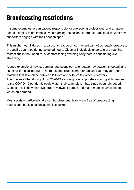# Broadcasting restrictions

In some examples, organisations responsible for overseeing professional and amateur aspects of play might impose live streaming restrictions to protect traditional ways of how supporters engage with their chosen sport.

This might mean fixtures in a particular league or tournament cannot be legally broadcast in specific countries during selected hours. Clubs or individuals uncertain of streaming restrictions in their sport must contact their governing body before considering live streaming.

A good example of how streaming restrictions can alter season-by-season is football and its television blackout rule. The rule states clubs cannot broadcast Saturday afternoon matches that take place between 2.45pm and 5.15pm to domestic viewers. The rule was lifted during clubs' 2020-21 campaigns so supporters staying at home due to the COVID-19 pandemic could watch their team play. It has since been reimposed. Clubs can still, however, live stream midweek games and make matches available to watch on-demand.

Most sports – particularly at a semi-professional level – are free of broadcasting restrictions, but it is essential this is checked.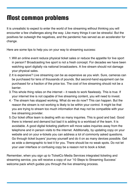## Most common problems

It is unrealistic to expect to enter the world of live streaming without thinking you will encounter a few challenges along the way. Like many things it can be stressful. But the positives far outweigh the negatives, and the pandemic has served as an accelerator for change.

Here are some tips to help you on your way to streaming success:

- Will an online event reduce physical ticket sales or reduce the appetite for live sport 1. in person? Broadcasting live sport is not a fresh concept. For decades we have been watching sport digitally via national broadcasters. A live stream should not damage your physical sales.
- 2. It is expensive? Live streaming can be as expensive as you wish. Sure, cameras can be purchased for tens of thousands of pounds. But second-hand equipment can be purchased for a fraction of the price too. The cost of live streaming should not be a barrier.
- 3. This whole thing relies on the internet it needs to work flawlessly. This is true. If your internet line is not capable of live streaming content, you will need to invest.
- 4. $\cdot$  The stream has stopped working. What do we do now? This can happen. But the reason the stream is not working is likely to be within your control. It might be that you are trying to stream too much information that may not be compatible with your live streaming provider.
- 5.Our ticket office team is dealing with so many inquiries. This is good and bad. Good there is interest and demand but bad it is adding to a workload of the team. It is avoidable. A good digital ticketing platform will move sales inquiries away from the telephone and in person visits to the internet. Additionally, by updating copy on your website and on your e-tickets you can address a lot of commonly asked questions. Go through ticket buyers' journey yourself and do it on as many devices possible. Get as wide a demographic to test it for you. There should be no weak spots. Do not let your user interface or confusing copy be a reason not to book a ticket.

Remember, when you sign up to TicketCo Media Services integrated ticketing and streaming service, you will receive a copy of our '10 Steps to [Streaming](https://support.ticketco.events/hc/en-us/sections/360005211059-10-Steps-to-Streaming-Success-) Success' welcome pack which guides you through the live streaming process.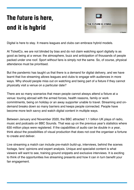# The future is here, and it is hybrid



Digital is here to stay. It means leagues and clubs can embrace hybrid models.

At TicketCo, we are not blinded by bias and do not claim watching sport digitally is as good as being at a venue: the atmosphere, buzz and anticipation of thousands of people packed under one roof. Sport without fans is simply not the same. So, of course, physical attendance must be prioritised.

But the pandemic has taught us that there is a demand for digital delivery, and we have learnt that live streaming allows leagues and clubs to engage with audiences in more ways. Why should people miss out on watching and being part of a fixture if they cannot physically visit a venue on a particular date?

There are so many scenarios that mean people cannot always attend a fixture at a venue: touring abroad with the armed forces, health reasons, family or work commitments, being on holiday or an away supporter unable to travel. Streaming and ondemand breaks down so many barriers and keeps people connected. People have become more tech savvy and watch digital content in multiple ways.

Between January and November 2020, the BBC attracted 1.1 billion UK plays of radio, music and podcasts on BBC Sounds. That was up on the previous year's statistics where 630 million plays were registered. If the capabilities of audio can be double in a year, think about the possibilities of visual production that does not cost the organiser a fortune to create and deliver.

Live streaming a match can include pre-match build-up, interviews, behind the scenes footage, fans' opinions and expert analysis. Unique and specialist content is what viewers will want to see, training ground snippets and exclusive interviews. It is exciting to think of the opportunities live streaming presents and how it can in turn benefit your fan engagement.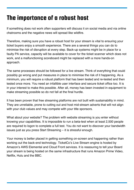# The importance of a robust host

If something does not work often supporters will discuss it on social media and via online chatrooms and the negative news will spread like wildfire.

Therefore, making sure you have a robust host for your stream is vital to ensuring your ticket buyers enjoy a smooth experience. There are a several things you can do to minimise the risk of disruption at every step. Back-up systems might be in place for a faulty PA service, capacity will be available to cover for the ticket scanner which does not work, and a malfunctioning scoreboard might be replaced with a more hands-on approach.

The same processes should be followed for a live stream. Think of everything that could possibly go wrong and put measures in place to minimise the risk of it happening. As a minimum, you will require a robust platform that has been tested and re-tested and then tested once more. You need an infallible user interface and secure ticket office too. It is in your interest to make this possible. After all, money has been invested in equipment to make streaming possible so do not fall at the final hurdle.

It has been proven that free streaming platforms are not built with sustainability in mind. They are unreliable, prone to cutting out and host mid-stream adverts that will not align with your club values and may compete with your title sponsors.

What about your website? The problem with website streaming is you enter without knowing your capabilities. It is impossible to run a beta-test when at least 2,500 people are required to logon to complete a full test. You do not want to discover your bandwidth issues just as you press Start Streaming – it is stressful enough.

Your money is better placed in getting something on-screen and happening rather than working out the back-end technology. TicketCo's Live Stream engine is hosted by Amazon's AWS Elemental and Cloud Front services. It is reassuring to tell your Board your stream is being hosted on the same infrastructure that runs Amazon Prime Video, Netflix, Hulu and the BBC.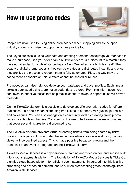### How to use promo codes



People are now used to using online promocodes when shopping and so the sport industry should maximise the opportunity they provide too.

The key to success is using your data and creating offers that encourage your fanbase to make a purchase. Can you offer a fan a bulk ticket deal? Or a discount to a match if they have not attended for a while? Or perhaps a New Year offer, or a birthday treat? The beauty of digital promo-codes is they can be created and distributed instantly and once they are live the process to redeem them is fully automated. Plus, the way they are coded means bespoke or unique offers cannot be shared or reused.

Promocodes can also help you develop your database and buyer profiles. Each time a ticket is purchased using a promotion code, data is stored. From this information, you can invest in effective tactics that help maximise future revenue opportunities via proven methods.

On the TicketCo platform, it is possible to develop specific promotion codes for different audiences. This could mean distributing free tickets to partners, VIP guests, journalists and colleagues. You can also engage on a community level by creating group promo codes for schools or charities. Consider too the use of half season passes or bundles that cover several fixtures for a discounted rate.

The TicketCo platform prevents virtual streaming tickets from being shared by ticket buyers. If one person logs in under the same pass while a viewer is watching, the new viewer will be declined access. This is made possible because ticketing and the broadcast of an event is integrated on the TicketCo platform.

TicketCo Media Services is a pay-per-view streaming and video on demand service built into a robust payments platform. The foundation of TicketCo Media Services is TicketCo, a unified cloud based platform for efficient event payments. Integrated into this is a live streaming and a video on demand feature built on broadcasting grade technology from Amazon Web Services.